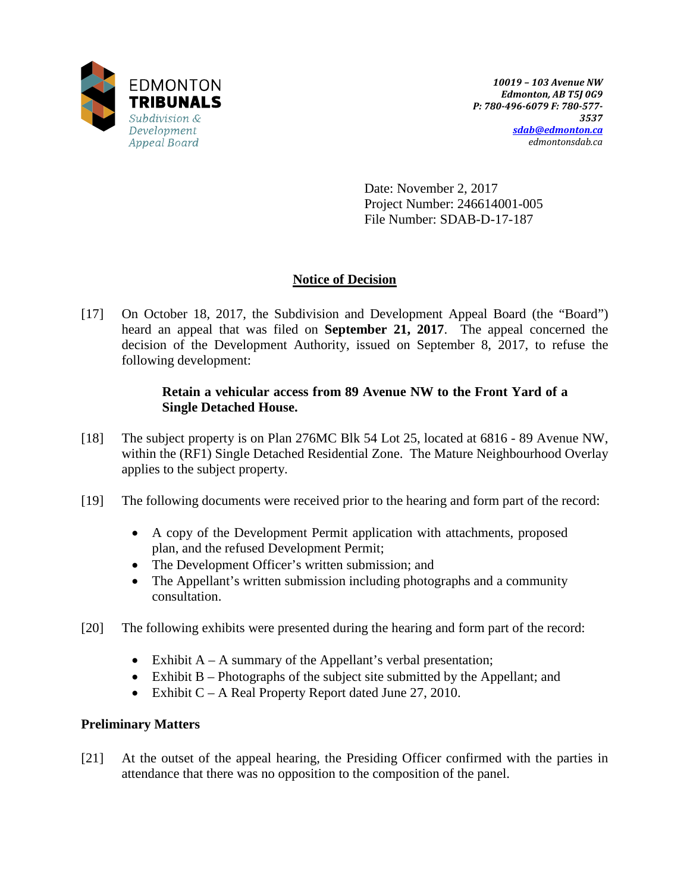

Date: November 2, 2017 Project Number: 246614001-005 File Number: SDAB-D-17-187

# **Notice of Decision**

[17] On October 18, 2017, the Subdivision and Development Appeal Board (the "Board") heard an appeal that was filed on **September 21, 2017**. The appeal concerned the decision of the Development Authority, issued on September 8, 2017, to refuse the following development:

# **Retain a vehicular access from 89 Avenue NW to the Front Yard of a Single Detached House.**

- [18] The subject property is on Plan 276MC Blk 54 Lot 25, located at 6816 89 Avenue NW, within the (RF1) Single Detached Residential Zone. The Mature Neighbourhood Overlay applies to the subject property.
- [19] The following documents were received prior to the hearing and form part of the record:
	- A copy of the Development Permit application with attachments, proposed plan, and the refused Development Permit;
	- The Development Officer's written submission; and
	- The Appellant's written submission including photographs and a community consultation.
- [20] The following exhibits were presented during the hearing and form part of the record:
	- Exhibit  $A A$  summary of the Appellant's verbal presentation;
	- Exhibit  $B -$ Photographs of the subject site submitted by the Appellant; and
	- Exhibit C A Real Property Report dated June 27, 2010.

# **Preliminary Matters**

[21] At the outset of the appeal hearing, the Presiding Officer confirmed with the parties in attendance that there was no opposition to the composition of the panel.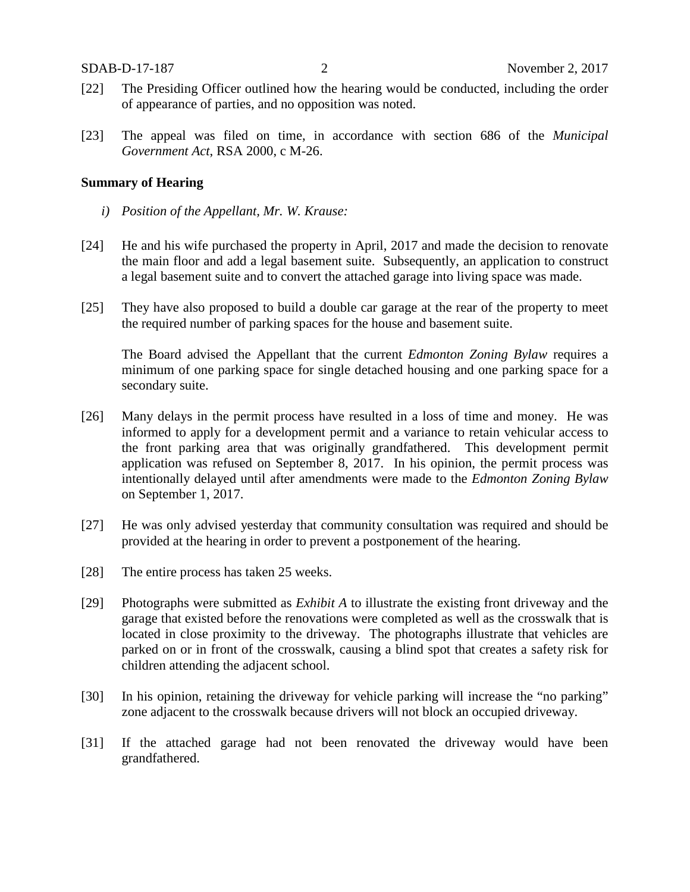- [22] The Presiding Officer outlined how the hearing would be conducted, including the order of appearance of parties, and no opposition was noted.
- [23] The appeal was filed on time, in accordance with section 686 of the *Municipal Government Act*, RSA 2000, c M-26.

#### **Summary of Hearing**

- *i) Position of the Appellant, Mr. W. Krause:*
- [24] He and his wife purchased the property in April, 2017 and made the decision to renovate the main floor and add a legal basement suite. Subsequently, an application to construct a legal basement suite and to convert the attached garage into living space was made.
- [25] They have also proposed to build a double car garage at the rear of the property to meet the required number of parking spaces for the house and basement suite.

The Board advised the Appellant that the current *Edmonton Zoning Bylaw* requires a minimum of one parking space for single detached housing and one parking space for a secondary suite.

- [26] Many delays in the permit process have resulted in a loss of time and money. He was informed to apply for a development permit and a variance to retain vehicular access to the front parking area that was originally grandfathered. This development permit application was refused on September 8, 2017. In his opinion, the permit process was intentionally delayed until after amendments were made to the *Edmonton Zoning Bylaw* on September 1, 2017.
- [27] He was only advised yesterday that community consultation was required and should be provided at the hearing in order to prevent a postponement of the hearing.
- [28] The entire process has taken 25 weeks.
- [29] Photographs were submitted as *Exhibit A* to illustrate the existing front driveway and the garage that existed before the renovations were completed as well as the crosswalk that is located in close proximity to the driveway. The photographs illustrate that vehicles are parked on or in front of the crosswalk, causing a blind spot that creates a safety risk for children attending the adjacent school.
- [30] In his opinion, retaining the driveway for vehicle parking will increase the "no parking" zone adjacent to the crosswalk because drivers will not block an occupied driveway.
- [31] If the attached garage had not been renovated the driveway would have been grandfathered.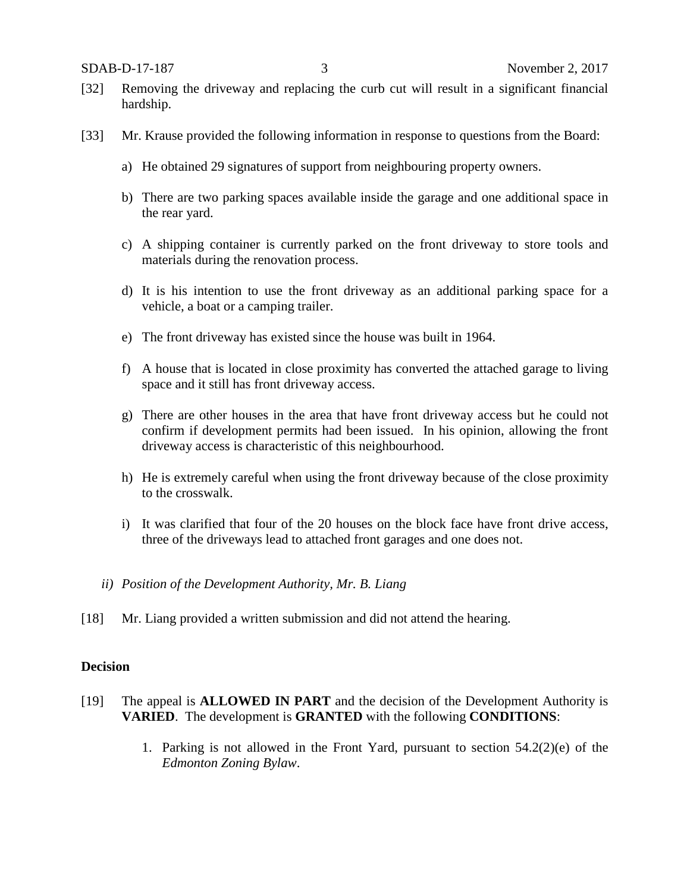- [32] Removing the driveway and replacing the curb cut will result in a significant financial hardship.
- [33] Mr. Krause provided the following information in response to questions from the Board:
	- a) He obtained 29 signatures of support from neighbouring property owners.
	- b) There are two parking spaces available inside the garage and one additional space in the rear yard.
	- c) A shipping container is currently parked on the front driveway to store tools and materials during the renovation process.
	- d) It is his intention to use the front driveway as an additional parking space for a vehicle, a boat or a camping trailer.
	- e) The front driveway has existed since the house was built in 1964.
	- f) A house that is located in close proximity has converted the attached garage to living space and it still has front driveway access.
	- g) There are other houses in the area that have front driveway access but he could not confirm if development permits had been issued. In his opinion, allowing the front driveway access is characteristic of this neighbourhood.
	- h) He is extremely careful when using the front driveway because of the close proximity to the crosswalk.
	- i) It was clarified that four of the 20 houses on the block face have front drive access, three of the driveways lead to attached front garages and one does not.
	- *ii) Position of the Development Authority, Mr. B. Liang*
- [18] Mr. Liang provided a written submission and did not attend the hearing.

#### **Decision**

- [19] The appeal is **ALLOWED IN PART** and the decision of the Development Authority is **VARIED**. The development is **GRANTED** with the following **CONDITIONS**:
	- 1. Parking is not allowed in the Front Yard, pursuant to section 54.2(2)(e) of the *Edmonton Zoning Bylaw*.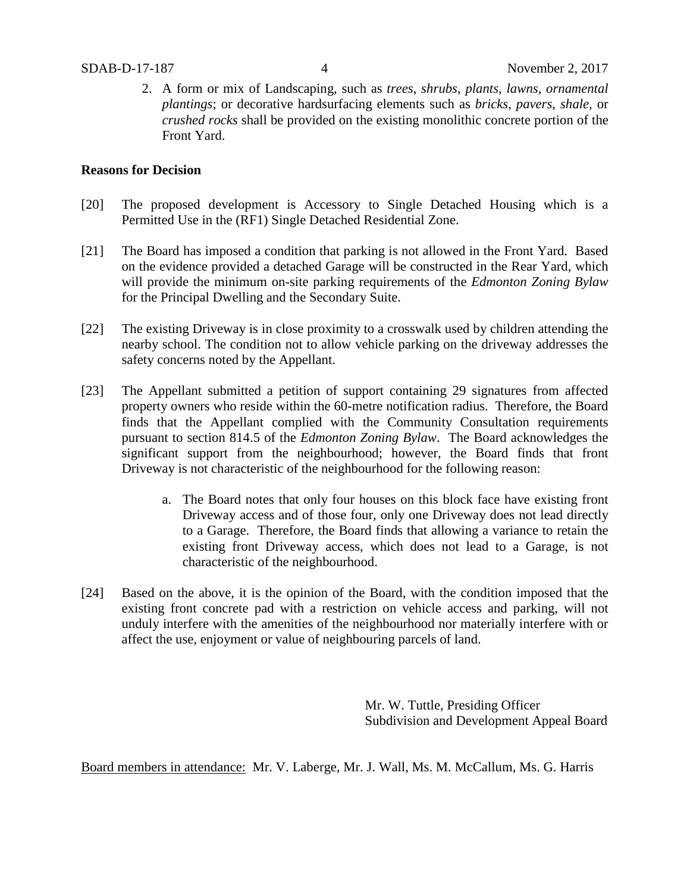2. A form or mix of Landscaping, such as *trees*, *shrubs*, *plants*, *lawns*, *ornamental plantings*; or decorative hardsurfacing elements such as *bricks*, *pavers*, *shale*, or *crushed rocks* shall be provided on the existing monolithic concrete portion of the Front Yard.

### **Reasons for Decision**

- [20] The proposed development is Accessory to Single Detached Housing which is a Permitted Use in the (RF1) Single Detached Residential Zone.
- [21] The Board has imposed a condition that parking is not allowed in the Front Yard. Based on the evidence provided a detached Garage will be constructed in the Rear Yard, which will provide the minimum on-site parking requirements of the *Edmonton Zoning Bylaw* for the Principal Dwelling and the Secondary Suite.
- [22] The existing Driveway is in close proximity to a crosswalk used by children attending the nearby school. The condition not to allow vehicle parking on the driveway addresses the safety concerns noted by the Appellant.
- [23] The Appellant submitted a petition of support containing 29 signatures from affected property owners who reside within the 60-metre notification radius. Therefore, the Board finds that the Appellant complied with the Community Consultation requirements pursuant to section 814.5 of the *Edmonton Zoning Bylaw*. The Board acknowledges the significant support from the neighbourhood; however, the Board finds that front Driveway is not characteristic of the neighbourhood for the following reason:
	- a. The Board notes that only four houses on this block face have existing front Driveway access and of those four, only one Driveway does not lead directly to a Garage. Therefore, the Board finds that allowing a variance to retain the existing front Driveway access, which does not lead to a Garage, is not characteristic of the neighbourhood.
- [24] Based on the above, it is the opinion of the Board, with the condition imposed that the existing front concrete pad with a restriction on vehicle access and parking, will not unduly interfere with the amenities of the neighbourhood nor materially interfere with or affect the use, enjoyment or value of neighbouring parcels of land.

Mr. W. Tuttle, Presiding Officer Subdivision and Development Appeal Board

Board members in attendance: Mr. V. Laberge, Mr. J. Wall, Ms. M. McCallum, Ms. G. Harris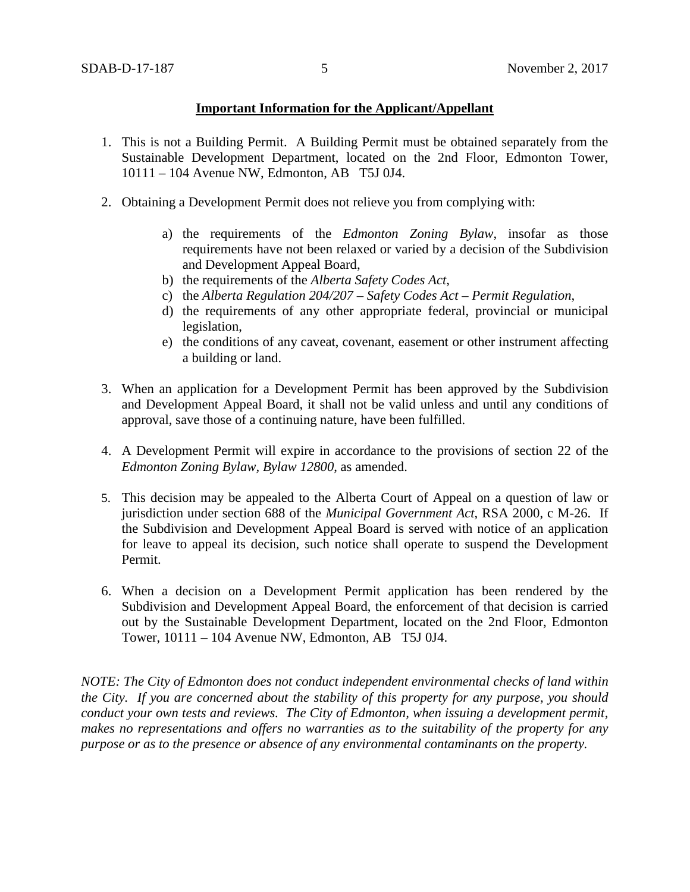## **Important Information for the Applicant/Appellant**

- 1. This is not a Building Permit. A Building Permit must be obtained separately from the Sustainable Development Department, located on the 2nd Floor, Edmonton Tower, 10111 – 104 Avenue NW, Edmonton, AB T5J 0J4.
- 2. Obtaining a Development Permit does not relieve you from complying with:
	- a) the requirements of the *Edmonton Zoning Bylaw*, insofar as those requirements have not been relaxed or varied by a decision of the Subdivision and Development Appeal Board,
	- b) the requirements of the *Alberta Safety Codes Act*,
	- c) the *Alberta Regulation 204/207 – Safety Codes Act – Permit Regulation*,
	- d) the requirements of any other appropriate federal, provincial or municipal legislation,
	- e) the conditions of any caveat, covenant, easement or other instrument affecting a building or land.
- 3. When an application for a Development Permit has been approved by the Subdivision and Development Appeal Board, it shall not be valid unless and until any conditions of approval, save those of a continuing nature, have been fulfilled.
- 4. A Development Permit will expire in accordance to the provisions of section 22 of the *Edmonton Zoning Bylaw, Bylaw 12800*, as amended.
- 5. This decision may be appealed to the Alberta Court of Appeal on a question of law or jurisdiction under section 688 of the *Municipal Government Act*, RSA 2000, c M-26. If the Subdivision and Development Appeal Board is served with notice of an application for leave to appeal its decision, such notice shall operate to suspend the Development Permit.
- 6. When a decision on a Development Permit application has been rendered by the Subdivision and Development Appeal Board, the enforcement of that decision is carried out by the Sustainable Development Department, located on the 2nd Floor, Edmonton Tower, 10111 – 104 Avenue NW, Edmonton, AB T5J 0J4.

*NOTE: The City of Edmonton does not conduct independent environmental checks of land within the City. If you are concerned about the stability of this property for any purpose, you should conduct your own tests and reviews. The City of Edmonton, when issuing a development permit, makes no representations and offers no warranties as to the suitability of the property for any purpose or as to the presence or absence of any environmental contaminants on the property.*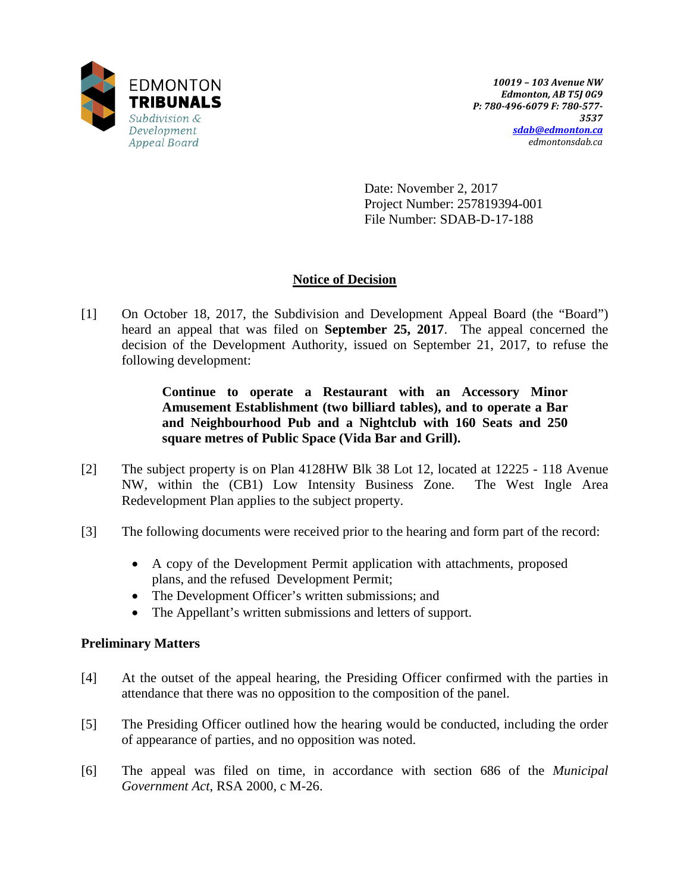

Date: November 2, 2017 Project Number: 257819394-001 File Number: SDAB-D-17-188

# **Notice of Decision**

[1] On October 18, 2017, the Subdivision and Development Appeal Board (the "Board") heard an appeal that was filed on **September 25, 2017**. The appeal concerned the decision of the Development Authority, issued on September 21, 2017, to refuse the following development:

> **Continue to operate a Restaurant with an Accessory Minor Amusement Establishment (two billiard tables), and to operate a Bar and Neighbourhood Pub and a Nightclub with 160 Seats and 250 square metres of Public Space (Vida Bar and Grill).**

- [2] The subject property is on Plan 4128HW Blk 38 Lot 12, located at 12225 118 Avenue NW, within the (CB1) Low Intensity Business Zone. The West Ingle Area Redevelopment Plan applies to the subject property.
- [3] The following documents were received prior to the hearing and form part of the record:
	- A copy of the Development Permit application with attachments, proposed plans, and the refused Development Permit;
	- The Development Officer's written submissions; and
	- The Appellant's written submissions and letters of support.

## **Preliminary Matters**

- [4] At the outset of the appeal hearing, the Presiding Officer confirmed with the parties in attendance that there was no opposition to the composition of the panel.
- [5] The Presiding Officer outlined how the hearing would be conducted, including the order of appearance of parties, and no opposition was noted.
- [6] The appeal was filed on time, in accordance with section 686 of the *Municipal Government Act*, RSA 2000, c M-26.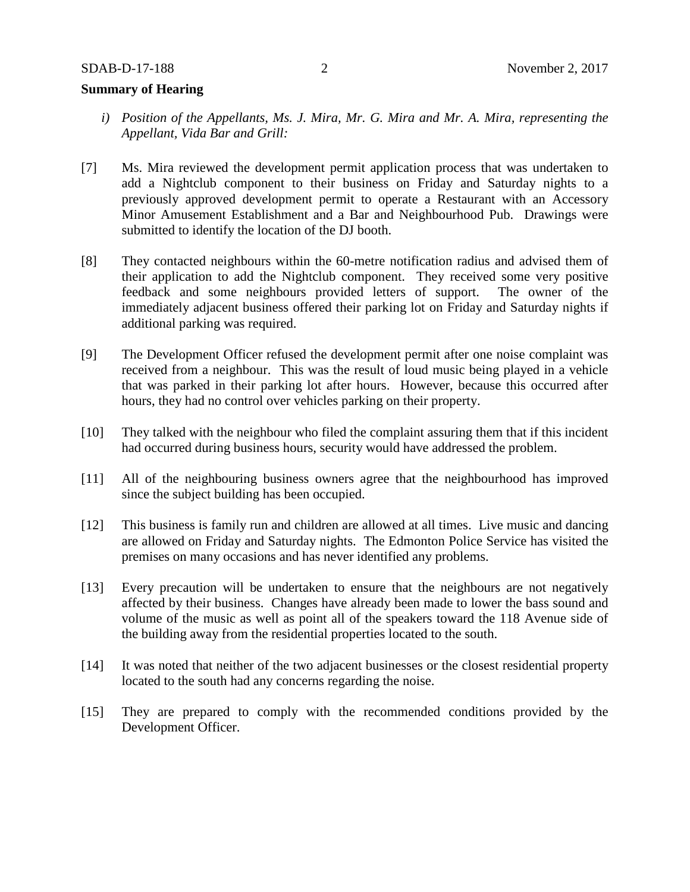## **Summary of Hearing**

- *i) Position of the Appellants, Ms. J. Mira, Mr. G. Mira and Mr. A. Mira, representing the Appellant, Vida Bar and Grill:*
- [7] Ms. Mira reviewed the development permit application process that was undertaken to add a Nightclub component to their business on Friday and Saturday nights to a previously approved development permit to operate a Restaurant with an Accessory Minor Amusement Establishment and a Bar and Neighbourhood Pub. Drawings were submitted to identify the location of the DJ booth.
- [8] They contacted neighbours within the 60-metre notification radius and advised them of their application to add the Nightclub component. They received some very positive feedback and some neighbours provided letters of support. The owner of the immediately adjacent business offered their parking lot on Friday and Saturday nights if additional parking was required.
- [9] The Development Officer refused the development permit after one noise complaint was received from a neighbour. This was the result of loud music being played in a vehicle that was parked in their parking lot after hours. However, because this occurred after hours, they had no control over vehicles parking on their property.
- [10] They talked with the neighbour who filed the complaint assuring them that if this incident had occurred during business hours, security would have addressed the problem.
- [11] All of the neighbouring business owners agree that the neighbourhood has improved since the subject building has been occupied.
- [12] This business is family run and children are allowed at all times. Live music and dancing are allowed on Friday and Saturday nights. The Edmonton Police Service has visited the premises on many occasions and has never identified any problems.
- [13] Every precaution will be undertaken to ensure that the neighbours are not negatively affected by their business. Changes have already been made to lower the bass sound and volume of the music as well as point all of the speakers toward the 118 Avenue side of the building away from the residential properties located to the south.
- [14] It was noted that neither of the two adjacent businesses or the closest residential property located to the south had any concerns regarding the noise.
- [15] They are prepared to comply with the recommended conditions provided by the Development Officer.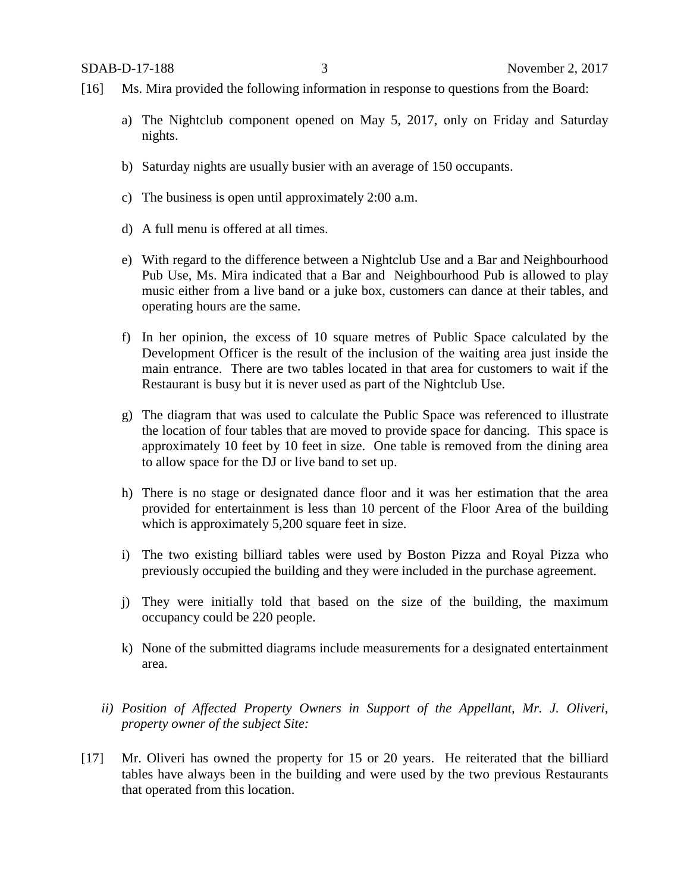- [16] Ms. Mira provided the following information in response to questions from the Board:
	- a) The Nightclub component opened on May 5, 2017, only on Friday and Saturday nights.
	- b) Saturday nights are usually busier with an average of 150 occupants.
	- c) The business is open until approximately 2:00 a.m.
	- d) A full menu is offered at all times.
	- e) With regard to the difference between a Nightclub Use and a Bar and Neighbourhood Pub Use, Ms. Mira indicated that a Bar and Neighbourhood Pub is allowed to play music either from a live band or a juke box, customers can dance at their tables, and operating hours are the same.
	- f) In her opinion, the excess of 10 square metres of Public Space calculated by the Development Officer is the result of the inclusion of the waiting area just inside the main entrance. There are two tables located in that area for customers to wait if the Restaurant is busy but it is never used as part of the Nightclub Use.
	- g) The diagram that was used to calculate the Public Space was referenced to illustrate the location of four tables that are moved to provide space for dancing. This space is approximately 10 feet by 10 feet in size. One table is removed from the dining area to allow space for the DJ or live band to set up.
	- h) There is no stage or designated dance floor and it was her estimation that the area provided for entertainment is less than 10 percent of the Floor Area of the building which is approximately 5,200 square feet in size.
	- i) The two existing billiard tables were used by Boston Pizza and Royal Pizza who previously occupied the building and they were included in the purchase agreement.
	- j) They were initially told that based on the size of the building, the maximum occupancy could be 220 people.
	- k) None of the submitted diagrams include measurements for a designated entertainment area.
	- *ii) Position of Affected Property Owners in Support of the Appellant, Mr. J. Oliveri, property owner of the subject Site:*
- [17] Mr. Oliveri has owned the property for 15 or 20 years. He reiterated that the billiard tables have always been in the building and were used by the two previous Restaurants that operated from this location.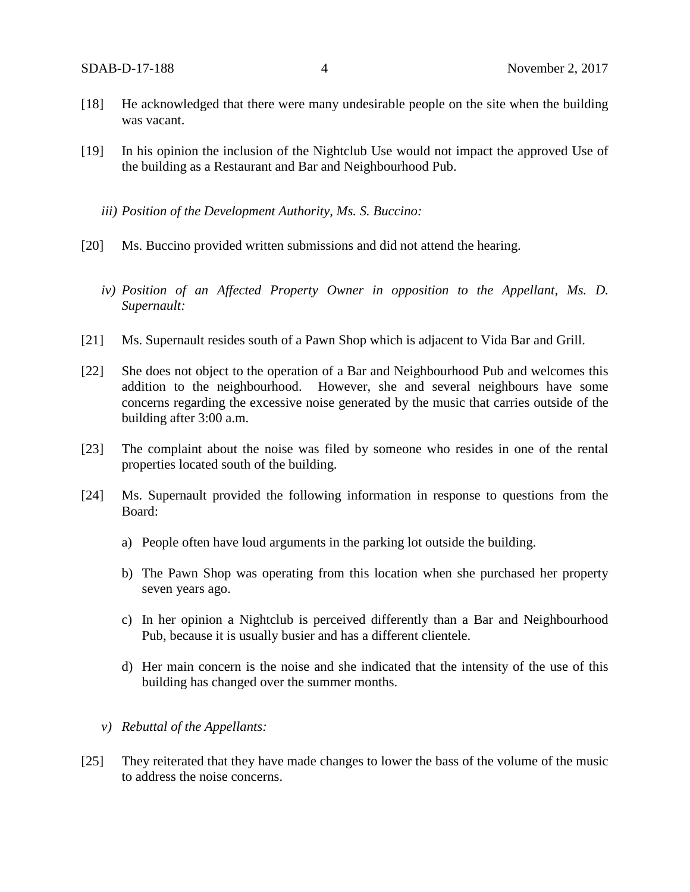- [18] He acknowledged that there were many undesirable people on the site when the building was vacant.
- [19] In his opinion the inclusion of the Nightclub Use would not impact the approved Use of the building as a Restaurant and Bar and Neighbourhood Pub.
	- *iii) Position of the Development Authority, Ms. S. Buccino:*
- [20] Ms. Buccino provided written submissions and did not attend the hearing.
	- *iv) Position of an Affected Property Owner in opposition to the Appellant, Ms. D. Supernault:*
- [21] Ms. Supernault resides south of a Pawn Shop which is adjacent to Vida Bar and Grill.
- [22] She does not object to the operation of a Bar and Neighbourhood Pub and welcomes this addition to the neighbourhood. However, she and several neighbours have some concerns regarding the excessive noise generated by the music that carries outside of the building after 3:00 a.m.
- [23] The complaint about the noise was filed by someone who resides in one of the rental properties located south of the building.
- [24] Ms. Supernault provided the following information in response to questions from the Board:
	- a) People often have loud arguments in the parking lot outside the building.
	- b) The Pawn Shop was operating from this location when she purchased her property seven years ago.
	- c) In her opinion a Nightclub is perceived differently than a Bar and Neighbourhood Pub, because it is usually busier and has a different clientele.
	- d) Her main concern is the noise and she indicated that the intensity of the use of this building has changed over the summer months.
	- *v) Rebuttal of the Appellants:*
- [25] They reiterated that they have made changes to lower the bass of the volume of the music to address the noise concerns.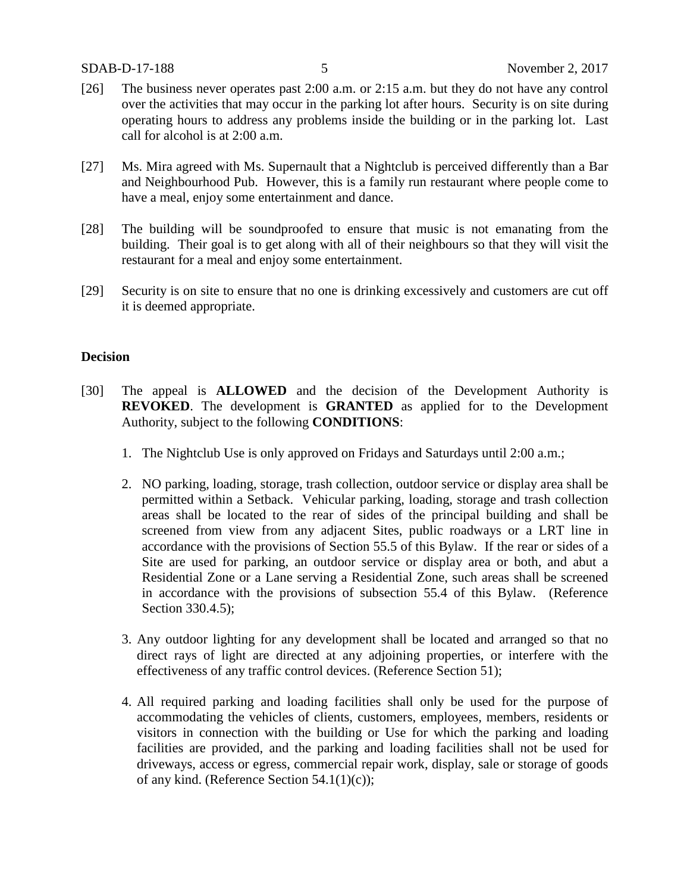- [26] The business never operates past 2:00 a.m. or 2:15 a.m. but they do not have any control over the activities that may occur in the parking lot after hours. Security is on site during operating hours to address any problems inside the building or in the parking lot. Last call for alcohol is at 2:00 a.m.
- [27] Ms. Mira agreed with Ms. Supernault that a Nightclub is perceived differently than a Bar and Neighbourhood Pub. However, this is a family run restaurant where people come to have a meal, enjoy some entertainment and dance.
- [28] The building will be soundproofed to ensure that music is not emanating from the building. Their goal is to get along with all of their neighbours so that they will visit the restaurant for a meal and enjoy some entertainment.
- [29] Security is on site to ensure that no one is drinking excessively and customers are cut off it is deemed appropriate.

#### **Decision**

- [30] The appeal is **ALLOWED** and the decision of the Development Authority is **REVOKED**. The development is **GRANTED** as applied for to the Development Authority, subject to the following **CONDITIONS**:
	- 1. The Nightclub Use is only approved on Fridays and Saturdays until 2:00 a.m.;
	- 2. NO parking, loading, storage, trash collection, outdoor service or display area shall be permitted within a Setback. Vehicular parking, loading, storage and trash collection areas shall be located to the rear of sides of the principal building and shall be screened from view from any adjacent Sites, public roadways or a LRT line in accordance with the provisions of Section 55.5 of this Bylaw. If the rear or sides of a Site are used for parking, an outdoor service or display area or both, and abut a Residential Zone or a Lane serving a Residential Zone, such areas shall be screened in accordance with the provisions of subsection 55.4 of this Bylaw. (Reference Section 330.4.5);
	- 3. Any outdoor lighting for any development shall be located and arranged so that no direct rays of light are directed at any adjoining properties, or interfere with the effectiveness of any traffic control devices. (Reference Section 51);
	- 4. All required parking and loading facilities shall only be used for the purpose of accommodating the vehicles of clients, customers, employees, members, residents or visitors in connection with the building or Use for which the parking and loading facilities are provided, and the parking and loading facilities shall not be used for driveways, access or egress, commercial repair work, display, sale or storage of goods of any kind. (Reference Section 54.1(1)(c));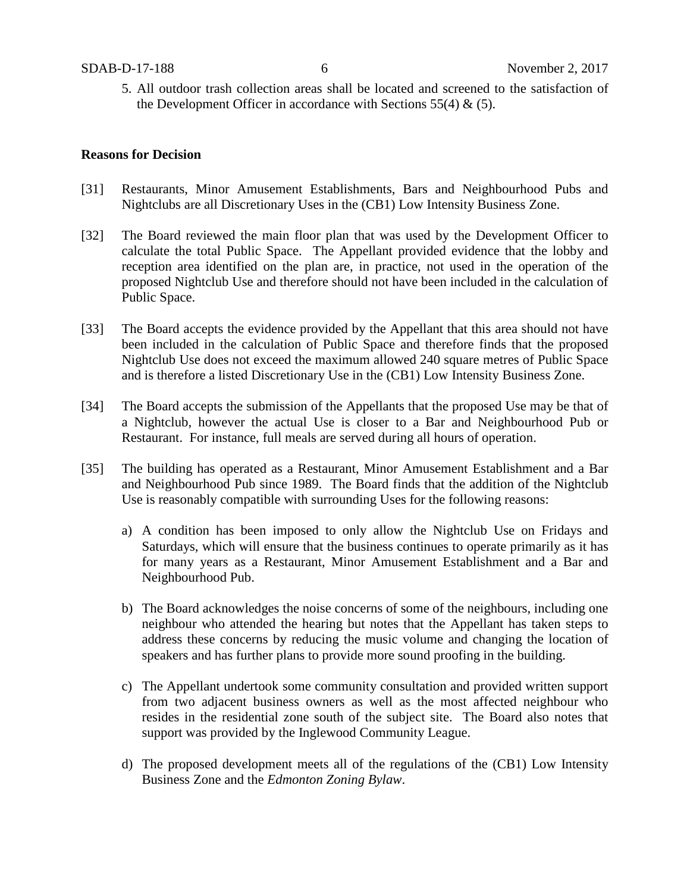5. All outdoor trash collection areas shall be located and screened to the satisfaction of the Development Officer in accordance with Sections  $55(4)$  &  $(5)$ .

#### **Reasons for Decision**

- [31] Restaurants, Minor Amusement Establishments, Bars and Neighbourhood Pubs and Nightclubs are all Discretionary Uses in the (CB1) Low Intensity Business Zone.
- [32] The Board reviewed the main floor plan that was used by the Development Officer to calculate the total Public Space. The Appellant provided evidence that the lobby and reception area identified on the plan are, in practice, not used in the operation of the proposed Nightclub Use and therefore should not have been included in the calculation of Public Space.
- [33] The Board accepts the evidence provided by the Appellant that this area should not have been included in the calculation of Public Space and therefore finds that the proposed Nightclub Use does not exceed the maximum allowed 240 square metres of Public Space and is therefore a listed Discretionary Use in the (CB1) Low Intensity Business Zone.
- [34] The Board accepts the submission of the Appellants that the proposed Use may be that of a Nightclub, however the actual Use is closer to a Bar and Neighbourhood Pub or Restaurant. For instance, full meals are served during all hours of operation.
- [35] The building has operated as a Restaurant, Minor Amusement Establishment and a Bar and Neighbourhood Pub since 1989. The Board finds that the addition of the Nightclub Use is reasonably compatible with surrounding Uses for the following reasons:
	- a) A condition has been imposed to only allow the Nightclub Use on Fridays and Saturdays, which will ensure that the business continues to operate primarily as it has for many years as a Restaurant, Minor Amusement Establishment and a Bar and Neighbourhood Pub.
	- b) The Board acknowledges the noise concerns of some of the neighbours, including one neighbour who attended the hearing but notes that the Appellant has taken steps to address these concerns by reducing the music volume and changing the location of speakers and has further plans to provide more sound proofing in the building.
	- c) The Appellant undertook some community consultation and provided written support from two adjacent business owners as well as the most affected neighbour who resides in the residential zone south of the subject site. The Board also notes that support was provided by the Inglewood Community League.
	- d) The proposed development meets all of the regulations of the (CB1) Low Intensity Business Zone and the *Edmonton Zoning Bylaw*.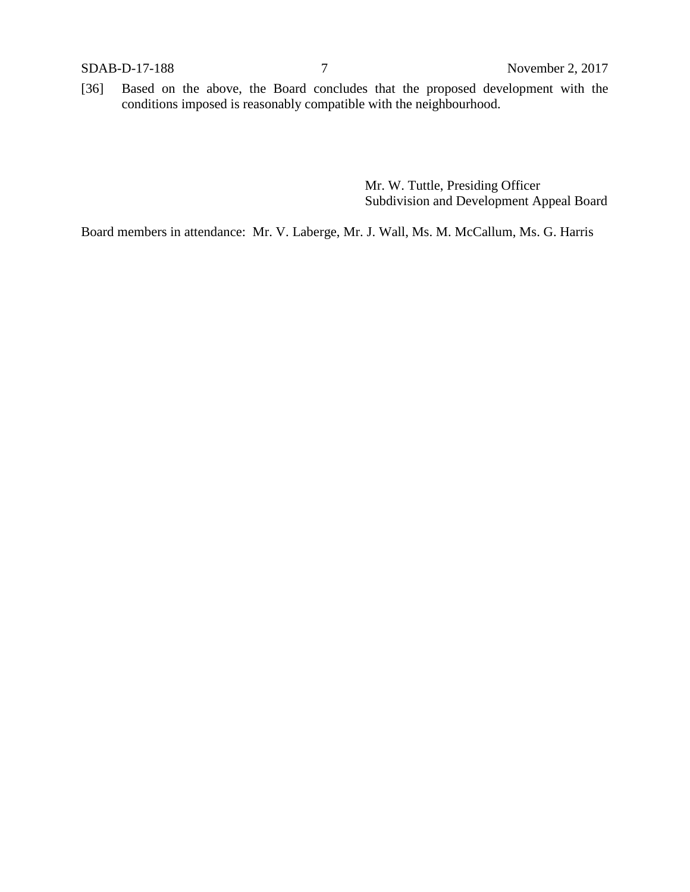[36] Based on the above, the Board concludes that the proposed development with the conditions imposed is reasonably compatible with the neighbourhood.

> Mr. W. Tuttle, Presiding Officer Subdivision and Development Appeal Board

Board members in attendance: Mr. V. Laberge, Mr. J. Wall, Ms. M. McCallum, Ms. G. Harris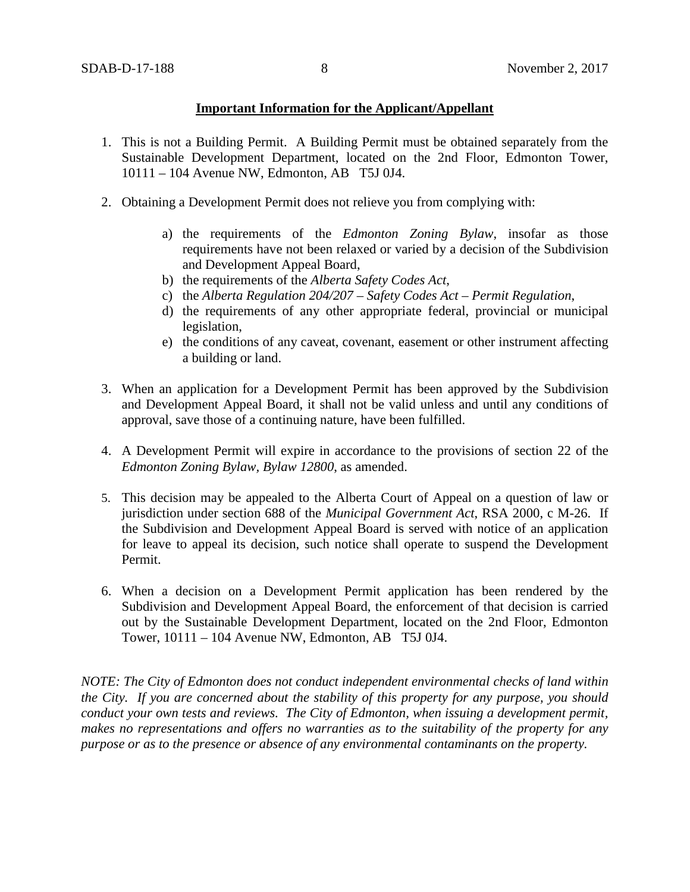### **Important Information for the Applicant/Appellant**

- 1. This is not a Building Permit. A Building Permit must be obtained separately from the Sustainable Development Department, located on the 2nd Floor, Edmonton Tower, 10111 – 104 Avenue NW, Edmonton, AB T5J 0J4.
- 2. Obtaining a Development Permit does not relieve you from complying with:
	- a) the requirements of the *Edmonton Zoning Bylaw*, insofar as those requirements have not been relaxed or varied by a decision of the Subdivision and Development Appeal Board,
	- b) the requirements of the *Alberta Safety Codes Act*,
	- c) the *Alberta Regulation 204/207 – Safety Codes Act – Permit Regulation*,
	- d) the requirements of any other appropriate federal, provincial or municipal legislation,
	- e) the conditions of any caveat, covenant, easement or other instrument affecting a building or land.
- 3. When an application for a Development Permit has been approved by the Subdivision and Development Appeal Board, it shall not be valid unless and until any conditions of approval, save those of a continuing nature, have been fulfilled.
- 4. A Development Permit will expire in accordance to the provisions of section 22 of the *Edmonton Zoning Bylaw, Bylaw 12800*, as amended.
- 5. This decision may be appealed to the Alberta Court of Appeal on a question of law or jurisdiction under section 688 of the *Municipal Government Act*, RSA 2000, c M-26. If the Subdivision and Development Appeal Board is served with notice of an application for leave to appeal its decision, such notice shall operate to suspend the Development Permit.
- 6. When a decision on a Development Permit application has been rendered by the Subdivision and Development Appeal Board, the enforcement of that decision is carried out by the Sustainable Development Department, located on the 2nd Floor, Edmonton Tower, 10111 – 104 Avenue NW, Edmonton, AB T5J 0J4.

*NOTE: The City of Edmonton does not conduct independent environmental checks of land within the City. If you are concerned about the stability of this property for any purpose, you should conduct your own tests and reviews. The City of Edmonton, when issuing a development permit, makes no representations and offers no warranties as to the suitability of the property for any purpose or as to the presence or absence of any environmental contaminants on the property.*